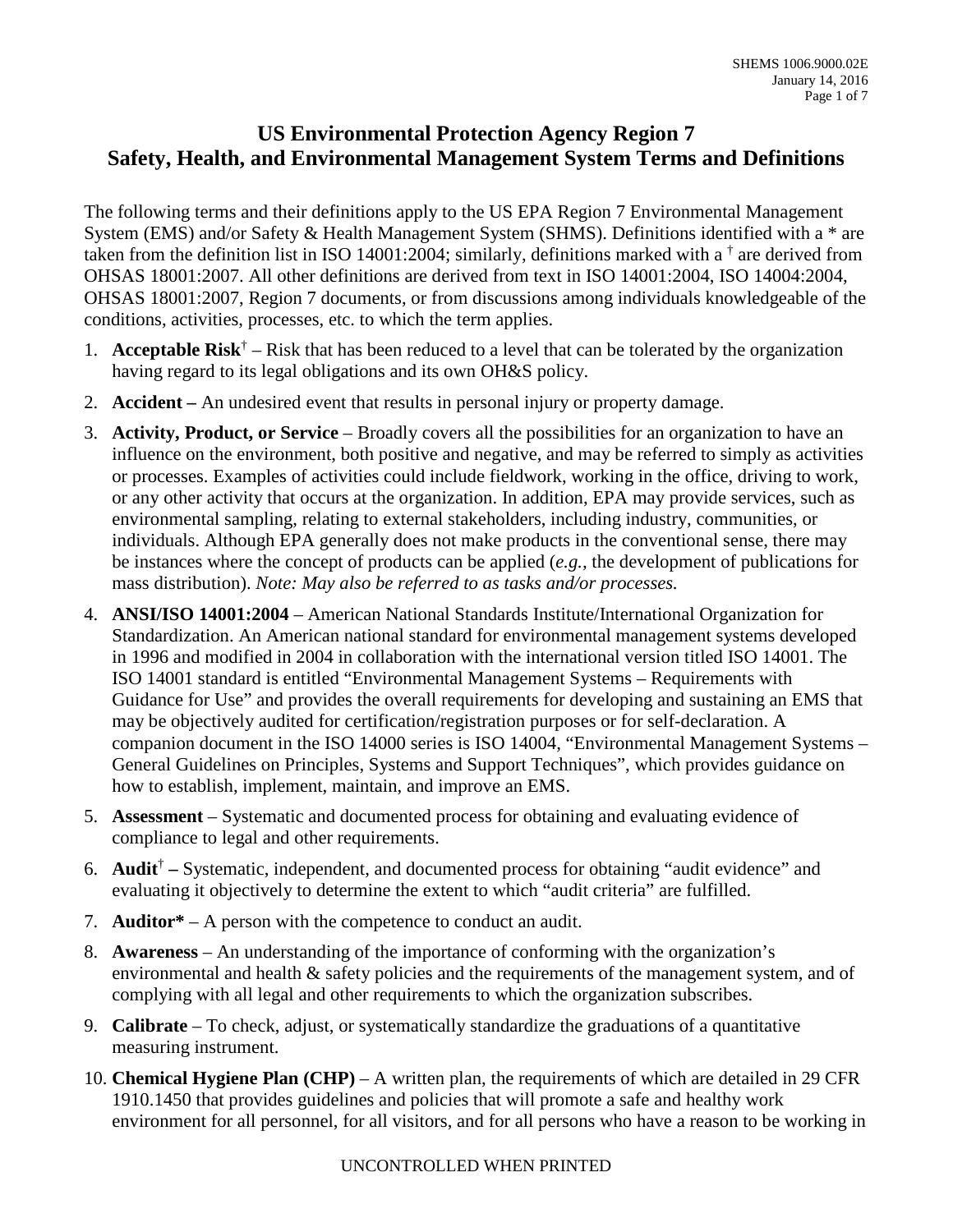## **US Environmental Protection Agency Region 7 Safety, Health, and Environmental Management System Terms and Definitions**

 System (EMS) and/or Safety & Health Management System (SHMS). Definitions identified with a \* are OHSAS 18001:2007, Region 7 documents, or from discussions among individuals knowledgeable of the The following terms and their definitions apply to the US EPA Region 7 Environmental Management taken from the definition list in ISO 14001:2004; similarly, definitions marked with a  $\dagger$  are derived from OHSAS 18001:2007. All other definitions are derived from text in ISO 14001:2004, ISO 14004:2004, conditions, activities, processes, etc. to which the term applies.

- 1. **Acceptable Risk**<sup>†</sup> Risk that has been reduced to a level that can be tolerated by the organization having regard to its legal obligations and its own OH&S policy.
- 2. **Accident** An undesired event that results in personal injury or property damage.
- 3. **Activity, Product, or Service**  Broadly covers all the possibilities for an organization to have an or any other activity that occurs at the organization. In addition, EPA may provide services, such as influence on the environment, both positive and negative, and may be referred to simply as activities or processes. Examples of activities could include fieldwork, working in the office, driving to work, environmental sampling, relating to external stakeholders, including industry, communities, or individuals. Although EPA generally does not make products in the conventional sense, there may be instances where the concept of products can be applied (*e.g.,* the development of publications for mass distribution). *Note: May also be referred to as tasks and/or processes.*
- 4. **ANSI/ISO 14001:2004**  American National Standards Institute/International Organization for ISO 14001 standard is entitled "Environmental Management Systems – Requirements with companion document in the ISO 14000 series is ISO 14004, "Environmental Management Systems – Standardization. An American national standard for environmental management systems developed in 1996 and modified in 2004 in collaboration with the international version titled ISO 14001. The Guidance for Use" and provides the overall requirements for developing and sustaining an EMS that may be objectively audited for certification/registration purposes or for self-declaration. A General Guidelines on Principles, Systems and Support Techniques", which provides guidance on how to establish, implement, maintain, and improve an EMS.
- 5. **Assessment**  Systematic and documented process for obtaining and evaluating evidence of compliance to legal and other requirements.
- 6. **Audit**† Systematic, independent, and documented process for obtaining "audit evidence" and evaluating it objectively to determine the extent to which "audit criteria" are fulfilled.
- 7. **Auditor\***  A person with the competence to conduct an audit.
- 8. **Awareness**  An understanding of the importance of conforming with the organization's environmental and health & safety policies and the requirements of the management system, and of complying with all legal and other requirements to which the organization subscribes.
- 9. **Calibrate**  To check, adjust, or systematically standardize the graduations of a quantitative measuring instrument.
- 10. **Chemical Hygiene Plan (CHP)**  A written plan, the requirements of which are detailed in 29 CFR 1910.1450 that provides guidelines and policies that will promote a safe and healthy work environment for all personnel, for all visitors, and for all persons who have a reason to be working in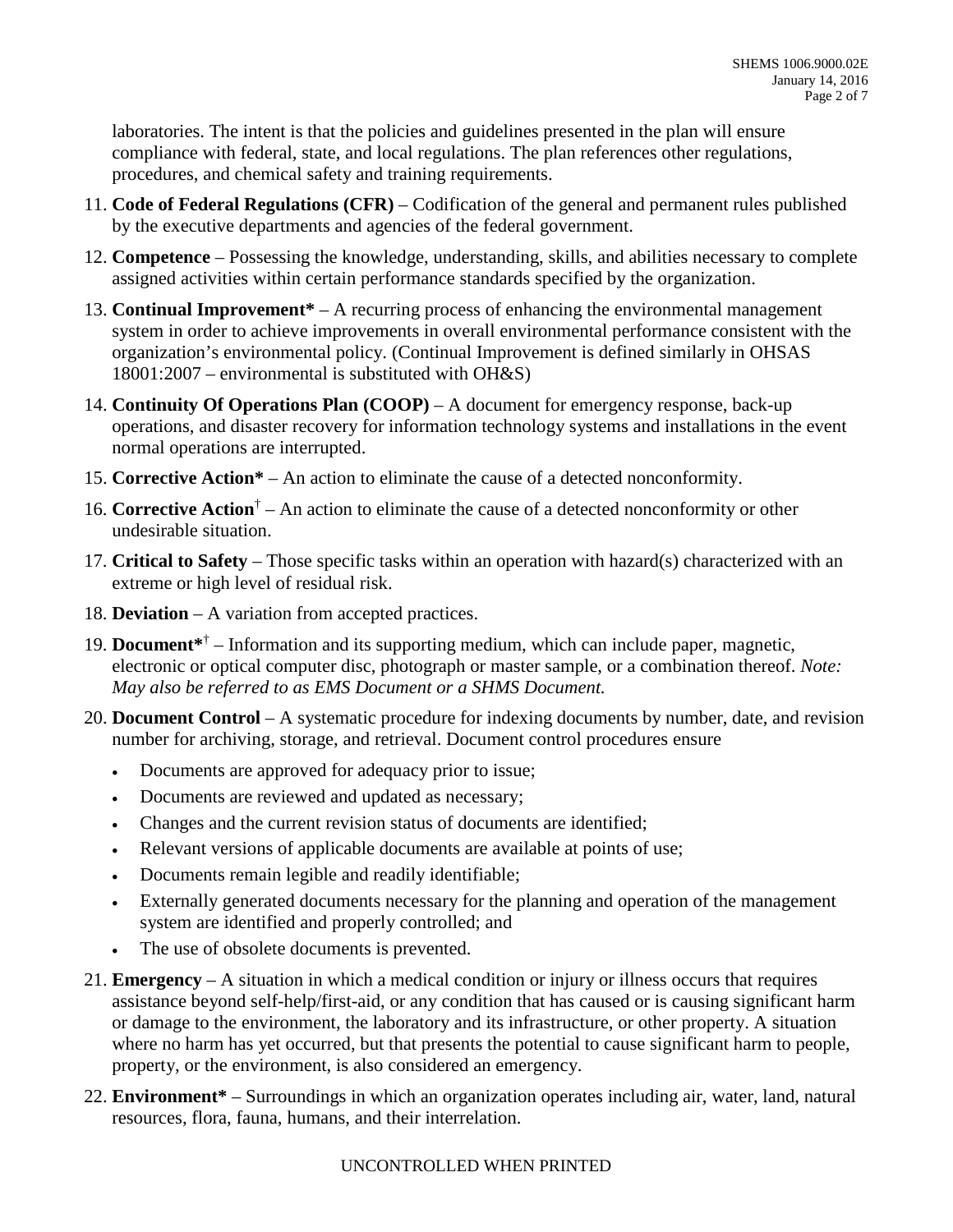laboratories. The intent is that the policies and guidelines presented in the plan will ensure compliance with federal, state, and local regulations. The plan references other regulations, procedures, and chemical safety and training requirements.

- 11. **Code of Federal Regulations (CFR)**  Codification of the general and permanent rules published by the executive departments and agencies of the federal government.
- 12. **Competence**  Possessing the knowledge, understanding, skills, and abilities necessary to complete assigned activities within certain performance standards specified by the organization.
- 13. **Continual Improvement\***  A recurring process of enhancing the environmental management organization's environmental policy. (Continual Improvement is defined similarly in OHSAS system in order to achieve improvements in overall environmental performance consistent with the 18001:2007 – environmental is substituted with OH&S)
- 14. **Continuity Of Operations Plan (COOP)**  A document for emergency response, back-up operations, and disaster recovery for information technology systems and installations in the event normal operations are interrupted.
- 15. **Corrective Action\***  An action to eliminate the cause of a detected nonconformity.
- 16. **Corrective Action**† An action to eliminate the cause of a detected nonconformity or other undesirable situation.
- 17. **Critical to Safety**  Those specific tasks within an operation with hazard(s) characterized with an extreme or high level of residual risk.
- 18. **Deviation**  A variation from accepted practices.
- 19. **Document**\*<sup>†</sup> Information and its supporting medium, which can include paper, magnetic, electronic or optical computer disc, photograph or master sample, or a combination thereof. *Note: May also be referred to as EMS Document or a SHMS Document.*
- 20. **Document Control**  A systematic procedure for indexing documents by number, date, and revision number for archiving, storage, and retrieval. Document control procedures ensure
	- Documents are approved for adequacy prior to issue;
	- Documents are reviewed and updated as necessary;
	- Changes and the current revision status of documents are identified;
	- Relevant versions of applicable documents are available at points of use;
	- Documents remain legible and readily identifiable;
	- Externally generated documents necessary for the planning and operation of the management system are identified and properly controlled; and
	- The use of obsolete documents is prevented.
- 21. **Emergency**  A situation in which a medical condition or injury or illness occurs that requires or damage to the environment, the laboratory and its infrastructure, or other property. A situation assistance beyond self-help/first-aid, or any condition that has caused or is causing significant harm where no harm has yet occurred, but that presents the potential to cause significant harm to people, property, or the environment, is also considered an emergency.
- 22. **Environment\***  Surroundings in which an organization operates including air, water, land, natural resources, flora, fauna, humans, and their interrelation.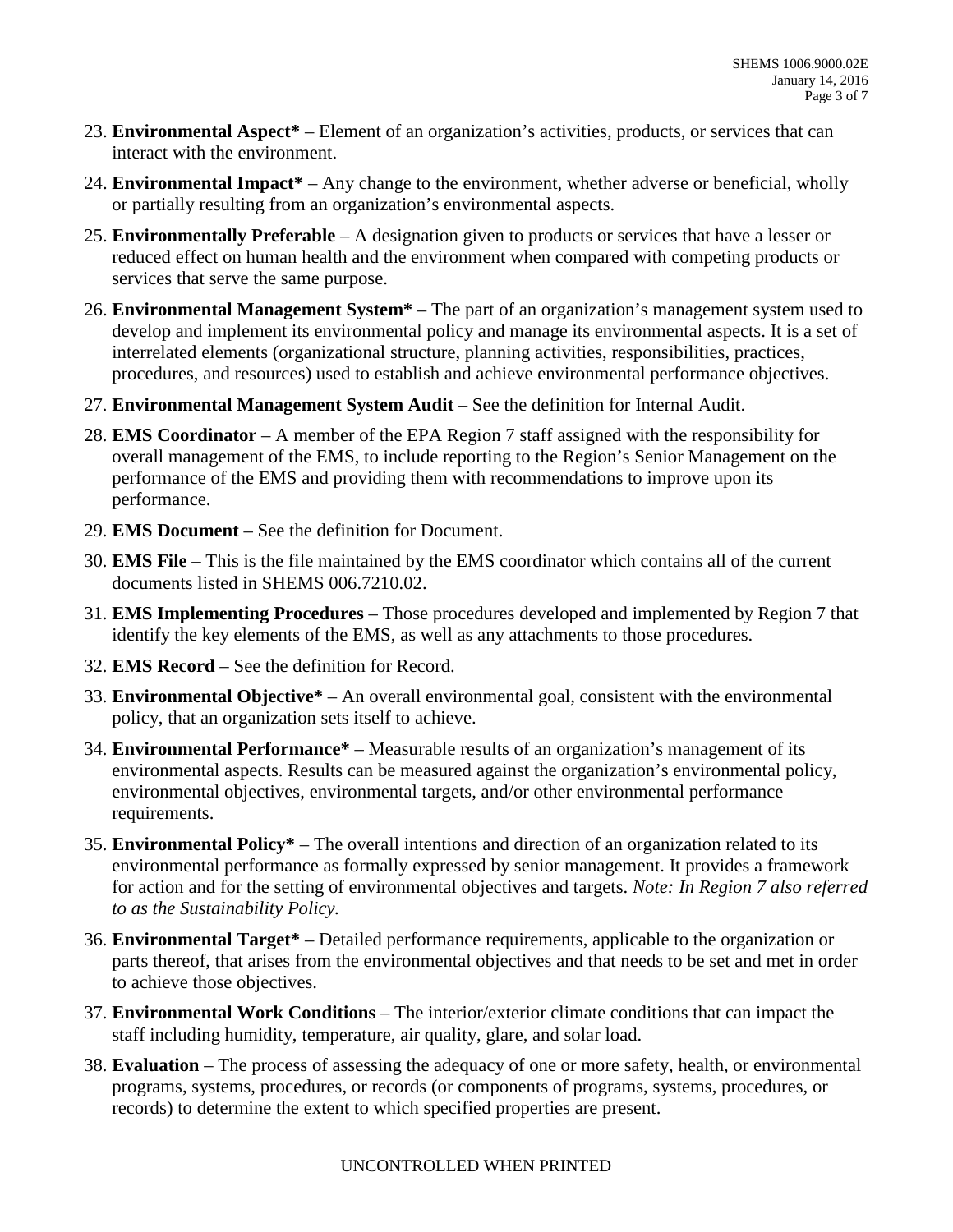- 23. **Environmental Aspect\***  Element of an organization's activities, products, or services that can interact with the environment.
- 24. **Environmental Impact\***  Any change to the environment, whether adverse or beneficial, wholly or partially resulting from an organization's environmental aspects.
- 25. **Environmentally Preferable**  A designation given to products or services that have a lesser or reduced effect on human health and the environment when compared with competing products or services that serve the same purpose.
- 26. **Environmental Management System\***  The part of an organization's management system used to develop and implement its environmental policy and manage its environmental aspects. It is a set of interrelated elements (organizational structure, planning activities, responsibilities, practices, procedures, and resources) used to establish and achieve environmental performance objectives.
- 27. **Environmental Management System Audit**  See the definition for Internal Audit.
- 28. **EMS Coordinator**  A member of the EPA Region 7 staff assigned with the responsibility for overall management of the EMS, to include reporting to the Region's Senior Management on the performance of the EMS and providing them with recommendations to improve upon its performance.
- 29. **EMS Document**  See the definition for Document.
- 30. **EMS File**  This is the file maintained by the EMS coordinator which contains all of the current documents listed in SHEMS [006.7210.02](https://006.7210.02).
- 31. **EMS Implementing Procedures**  Those procedures developed and implemented by Region 7 that identify the key elements of the EMS, as well as any attachments to those procedures.
- 32. **EMS Record**  See the definition for Record.
- 33. **Environmental Objective\***  An overall environmental goal, consistent with the environmental policy, that an organization sets itself to achieve.
- policy, that an organization sets itself to achieve. 34. **Environmental Performance\***  Measurable results of an organization's management of its environmental aspects. Results can be measured against the organization's environmental policy, environmental objectives, environmental targets, and/or other environmental performance requirements.
- 35. **Environmental Policy\***  The overall intentions and direction of an organization related to its environmental performance as formally expressed by senior management. It provides a framework for action and for the setting of environmental objectives and targets. *Note: In Region 7 also referred to as the Sustainability Policy.*
- 36. **Environmental Target\***  Detailed performance requirements, applicable to the organization or parts thereof, that arises from the environmental objectives and that needs to be set and met in order to achieve those objectives.
- 37. **Environmental Work Conditions**  The interior/exterior climate conditions that can impact the staff including humidity, temperature, air quality, glare, and solar load.
- staff including humidity, temperature, air quality, glare, and solar load. 38. **Evaluation**  The process of assessing the adequacy of one or more safety, health, or environmental programs, systems, procedures, or records (or components of programs, systems, procedures, or records) to determine the extent to which specified properties are present.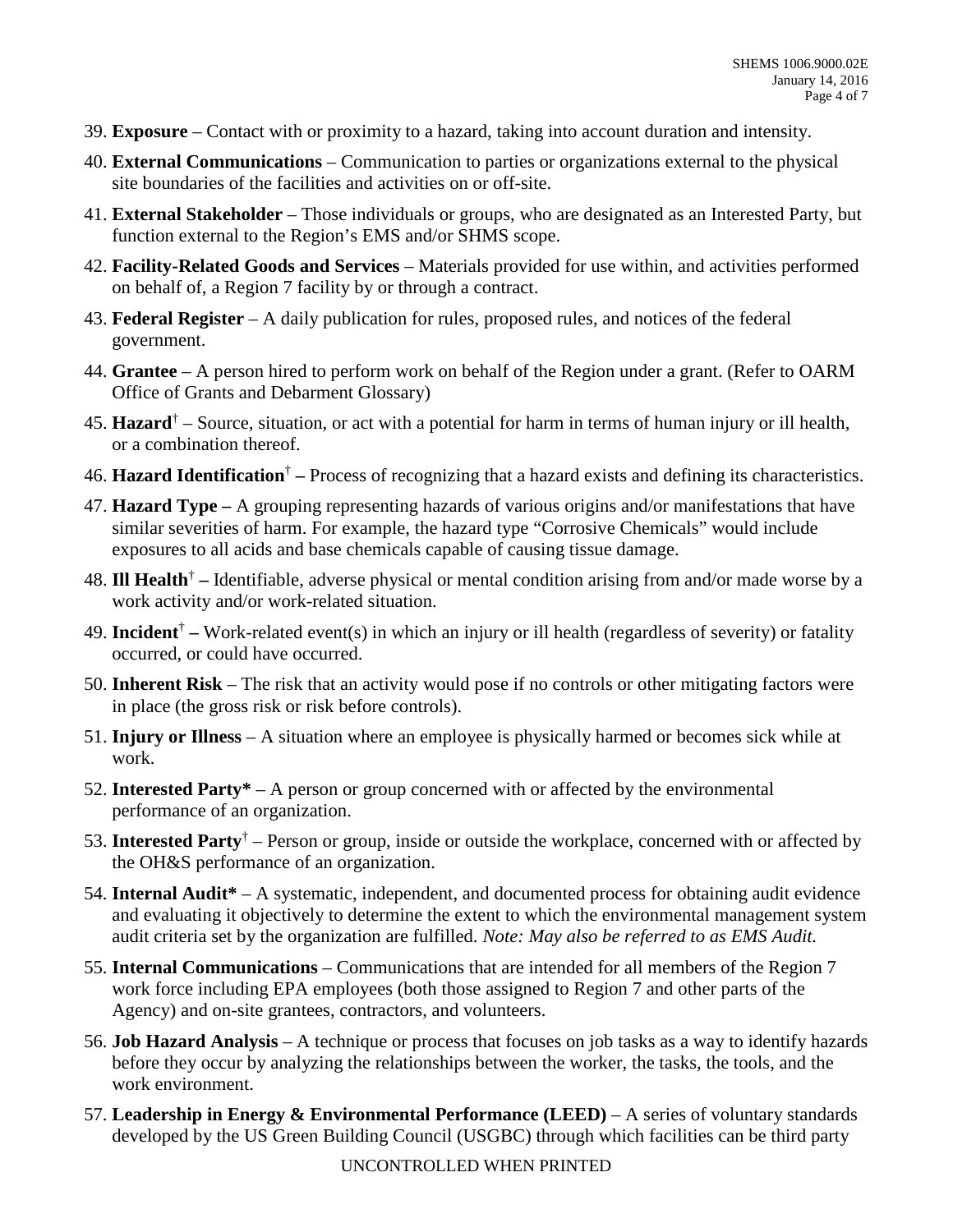- 39. **Exposure**  Contact with or proximity to a hazard, taking into account duration and intensity.
- 40. **External Communications**  Communication to parties or organizations external to the physical site boundaries of the facilities and activities on or off-site.
- function external to the Region's EMS and/or SHMS scope. 41. **External Stakeholder** – Those individuals or groups, who are designated as an Interested Party, but
- 42. **Facility-Related Goods and Services**  Materials provided for use within, and activities performed on behalf of, a Region 7 facility by or through a contract.
- 43. **Federal Register**  A daily publication for rules, proposed rules, and notices of the federal government.
- 44. **Grantee**  A person hired to perform work on behalf of the Region under a grant. (Refer to OARM Office of Grants and Debarment Glossary)
- 45. **Hazard**† Source, situation, or act with a potential for harm in terms of human injury or ill health, or a combination thereof.
- 46. **Hazard Identification**† Process of recognizing that a hazard exists and defining its characteristics.
- exposures to all acids and base chemicals capable of causing tissue damage. 47. **Hazard Type –** A grouping representing hazards of various origins and/or manifestations that have similar severities of harm. For example, the hazard type "Corrosive Chemicals" would include
- exposures to all acids and base chemicals capable of causing tissue damage. 48. **Ill Health**† Identifiable, adverse physical or mental condition arising from and/or made worse by a work activity and/or work-related situation.
- 49. **Incident**† Work-related event(s) in which an injury or ill health (regardless of severity) or fatality occurred, or could have occurred.
- in place (the gross risk or risk before controls). 50. **Inherent Risk** – The risk that an activity would pose if no controls or other mitigating factors were
- 51. **Injury or Illness**  A situation where an employee is physically harmed or becomes sick while at work.
- 52. **Interested Party\***  A person or group concerned with or affected by the environmental performance of an organization.
- performance of an organization. 53. **Interested Party**† Person or group, inside or outside the workplace, concerned with or affected by the OH&S performance of an organization.
- 54. **Internal Audit\***  A systematic, independent, and documented process for obtaining audit evidence and evaluating it objectively to determine the extent to which the environmental management system audit criteria set by the organization are fulfilled. *Note: May also be referred to as EMS Audit.*
- 55. **Internal Communications**  Communications that are intended for all members of the Region 7 work force including EPA employees (both those assigned to Region 7 and other parts of the Agency) and on-site grantees, contractors, and volunteers.
- 56. **Job Hazard Analysis**  A technique or process that focuses on job tasks as a way to identify hazards before they occur by analyzing the relationships between the worker, the tasks, the tools, and the work environment.
- 57. **Leadership in Energy & Environmental Performance (LEED)**  A series of voluntary standards developed by the US Green Building Council (USGBC) through which facilities can be third party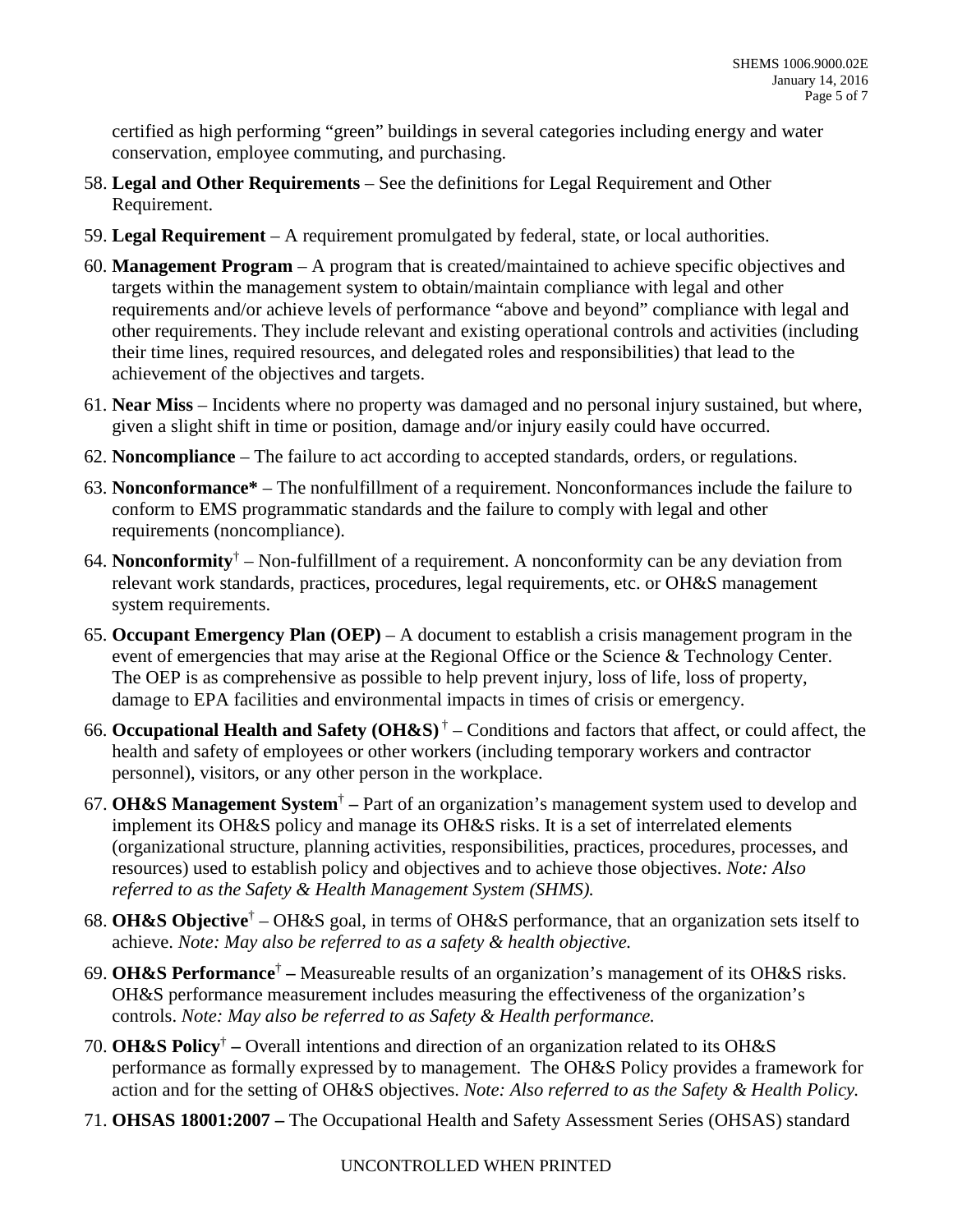certified as high performing "green" buildings in several categories including energy and water conservation, employee commuting, and purchasing.

- 58. **Legal and Other Requirements**  See the definitions for Legal Requirement and Other Requirement.
- 59. **Legal Requirement**  A requirement promulgated by federal, state, or local authorities.
- 60. **Management Program**  A program that is created/maintained to achieve specific objectives and targets within the management system to obtain/maintain compliance with legal and other requirements and/or achieve levels of performance "above and beyond" compliance with legal and other requirements. They include relevant and existing operational controls and activities (including their time lines, required resources, and delegated roles and responsibilities) that lead to the achievement of the objectives and targets.
- 61. **Near Miss**  Incidents where no property was damaged and no personal injury sustained, but where, given a slight shift in time or position, damage and/or injury easily could have occurred.
- 62. **Noncompliance**  The failure to act according to accepted standards, orders, or regulations.
- 63. **Nonconformance\***  The nonfulfillment of a requirement. Nonconformances include the failure to conform to EMS programmatic standards and the failure to comply with legal and other requirements (noncompliance).
- 64. **Nonconformity**† Non-fulfillment of a requirement. A nonconformity can be any deviation from relevant work standards, practices, procedures, legal requirements, etc. or OH&S management system requirements.
- 65. **Occupant Emergency Plan (OEP)**  A document to establish a crisis management program in the event of emergencies that may arise at the Regional Office or the Science & Technology Center. The OEP is as comprehensive as possible to help prevent injury, loss of life, loss of property, damage to EPA facilities and environmental impacts in times of crisis or emergency.
- personnel), visitors, or any other person in the workplace. 66. **Occupational Health and Safety (OH&S)** † – Conditions and factors that affect, or could affect, the health and safety of employees or other workers (including temporary workers and contractor
- personnel), visitors, or any other person in the workplace. 67. **OH&S Management System**† Part of an organization's management system used to develop and resources) used to establish policy and objectives and to achieve those objectives. *Note: Also referred to as the Safety & Health Management System (SHMS).*  implement its OH&S policy and manage its OH&S risks. It is a set of interrelated elements (organizational structure, planning activities, responsibilities, practices, procedures, processes, and
- 68. **OH&S Objective**† OH&S goal, in terms of OH&S performance, that an organization sets itself to  achieve. *Note: May also be referred to as a safety & health objective.*
- 69. **OH&S Performance**† Measureable results of an organization's management of its OH&S risks. OH&S performance measurement includes measuring the effectiveness of the organization's controls. *Note: May also be referred to as Safety & Health performance.*
- 70. **OH&S Policy**† Overall intentions and direction of an organization related to its OH&S  action and for the setting of OH&S objectives. *Note: Also referred to as the Safety & Health Policy.*  performance as formally expressed by to management. The OH&S Policy provides a framework for
- 71. **OHSAS 18001:2007** The Occupational Health and Safety Assessment Series (OHSAS) standard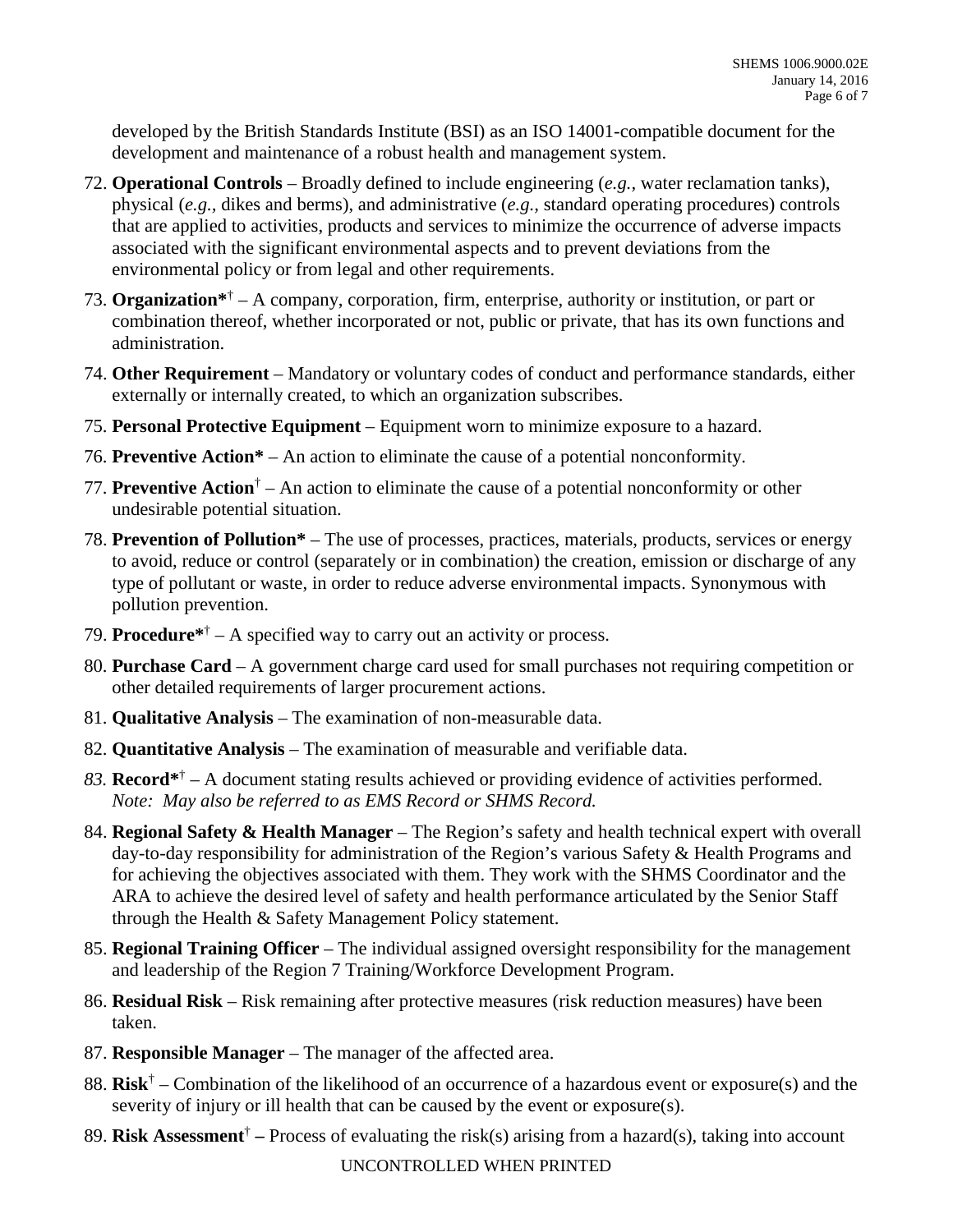developed by the British Standards Institute (BSI) as an ISO 14001-compatible document for the development and maintenance of a robust health and management system.

- 72. **Operational Controls**  Broadly defined to include engineering (*e.g.,* water reclamation tanks), physical (*e.g.,* dikes and berms), and administrative (*e.g.,* standard operating procedures) controls that are applied to activities, products and services to minimize the occurrence of adverse impacts associated with the significant environmental aspects and to prevent deviations from the environmental policy or from legal and other requirements.
- 73. **Organization\***† A company, corporation, firm, enterprise, authority or institution, or part or combination thereof, whether incorporated or not, public or private, that has its own functions and administration.
- 74. **Other Requirement**  Mandatory or voluntary codes of conduct and performance standards, either externally or internally created, to which an organization subscribes.
- 75. **Personal Protective Equipment**  Equipment worn to minimize exposure to a hazard.
- 76. **Preventive Action\***  An action to eliminate the cause of a potential nonconformity.
- 77. **Preventive Action**† An action to eliminate the cause of a potential nonconformity or other undesirable potential situation.
- 78. **Prevention of Pollution\***  The use of processes, practices, materials, products, services or energy to avoid, reduce or control (separately or in combination) the creation, emission or discharge of any type of pollutant or waste, in order to reduce adverse environmental impacts. Synonymous with pollution prevention.
- 79. **Procedure\***† A specified way to carry out an activity or process.
- 80. **Purchase Card**  A government charge card used for small purchases not requiring competition or other detailed requirements of larger procurement actions.
- 81. **Qualitative Analysis**  The examination of non-measurable data.
- 82. **Quantitative Analysis**  The examination of measurable and verifiable data.
- *83.* **Record\***† A document stating results achieved or providing evidence of activities performed.  *Note: May also be referred to as EMS Record or SHMS Record.*
- 84. **Regional Safety & Health Manager**  The Region's safety and health technical expert with overall for achieving the objectives associated with them. They work with the SHMS Coordinator and the through the Health & Safety Management Policy statement. day-to-day responsibility for administration of the Region's various Safety & Health Programs and ARA to achieve the desired level of safety and health performance articulated by the Senior Staff
- 85. **Regional Training Officer**  The individual assigned oversight responsibility for the management and leadership of the Region 7 Training/Workforce Development Program.
- 86. **Residual Risk**  Risk remaining after protective measures (risk reduction measures) have been taken.
- 87. **Responsible Manager**  The manager of the affected area.
- 88. **Risk**† Combination of the likelihood of an occurrence of a hazardous event or exposure(s) and the severity of injury or ill health that can be caused by the event or exposure(s).
- 89. **Risk Assessment**† Process of evaluating the risk(s) arising from a hazard(s), taking into account